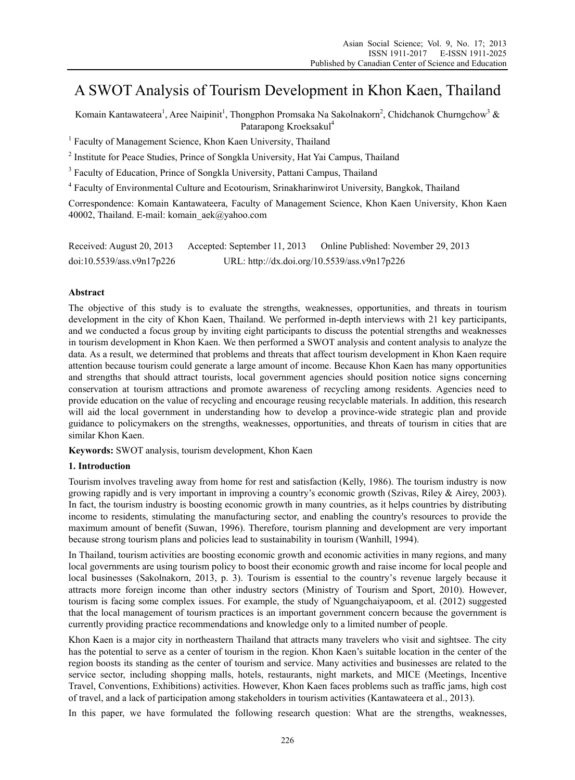# A SWOT Analysis of Tourism Development in Khon Kaen, Thailand

Komain Kantawateera<sup>1</sup>, Aree Naipinit<sup>1</sup>, Thongphon Promsaka Na Sakolnakorn<sup>2</sup>, Chidchanok Churngchow<sup>3</sup> & Patarapong Kroeksakul<sup>4</sup>

<sup>1</sup> Faculty of Management Science, Khon Kaen University, Thailand

<sup>2</sup> Institute for Peace Studies, Prince of Songkla University, Hat Yai Campus, Thailand

<sup>3</sup> Faculty of Education, Prince of Songkla University, Pattani Campus, Thailand

<sup>4</sup> Faculty of Environmental Culture and Ecotourism, Srinakharinwirot University, Bangkok, Thailand

Correspondence: Komain Kantawateera, Faculty of Management Science, Khon Kaen University, Khon Kaen 40002, Thailand. E-mail: komain\_aek@yahoo.com

| Received: August 20, 2013 | Accepted: September 11, 2013                 | Online Published: November 29, 2013 |
|---------------------------|----------------------------------------------|-------------------------------------|
| doi:10.5539/ass.v9n17p226 | URL: http://dx.doi.org/10.5539/ass.v9n17p226 |                                     |

# **Abstract**

The objective of this study is to evaluate the strengths, weaknesses, opportunities, and threats in tourism development in the city of Khon Kaen, Thailand. We performed in-depth interviews with 21 key participants, and we conducted a focus group by inviting eight participants to discuss the potential strengths and weaknesses in tourism development in Khon Kaen. We then performed a SWOT analysis and content analysis to analyze the data. As a result, we determined that problems and threats that affect tourism development in Khon Kaen require attention because tourism could generate a large amount of income. Because Khon Kaen has many opportunities and strengths that should attract tourists, local government agencies should position notice signs concerning conservation at tourism attractions and promote awareness of recycling among residents. Agencies need to provide education on the value of recycling and encourage reusing recyclable materials. In addition, this research will aid the local government in understanding how to develop a province-wide strategic plan and provide guidance to policymakers on the strengths, weaknesses, opportunities, and threats of tourism in cities that are similar Khon Kaen.

**Keywords:** SWOT analysis, tourism development, Khon Kaen

# **1. Introduction**

Tourism involves traveling away from home for rest and satisfaction (Kelly, 1986). The tourism industry is now growing rapidly and is very important in improving a country's economic growth (Szivas, Riley & Airey, 2003). In fact, the tourism industry is boosting economic growth in many countries, as it helps countries by distributing income to residents, stimulating the manufacturing sector, and enabling the country's resources to provide the maximum amount of benefit (Suwan, 1996). Therefore, tourism planning and development are very important because strong tourism plans and policies lead to sustainability in tourism (Wanhill, 1994).

In Thailand, tourism activities are boosting economic growth and economic activities in many regions, and many local governments are using tourism policy to boost their economic growth and raise income for local people and local businesses (Sakolnakorn, 2013, p. 3). Tourism is essential to the country's revenue largely because it attracts more foreign income than other industry sectors (Ministry of Tourism and Sport, 2010). However, tourism is facing some complex issues. For example, the study of Nguangchaiyapoom, et al. (2012) suggested that the local management of tourism practices is an important government concern because the government is currently providing practice recommendations and knowledge only to a limited number of people.

Khon Kaen is a major city in northeastern Thailand that attracts many travelers who visit and sightsee. The city has the potential to serve as a center of tourism in the region. Khon Kaen's suitable location in the center of the region boosts its standing as the center of tourism and service. Many activities and businesses are related to the service sector, including shopping malls, hotels, restaurants, night markets, and MICE (Meetings, Incentive Travel, Conventions, Exhibitions) activities. However, Khon Kaen faces problems such as traffic jams, high cost of travel, and a lack of participation among stakeholders in tourism activities (Kantawateera et al., 2013).

In this paper, we have formulated the following research question: What are the strengths, weaknesses,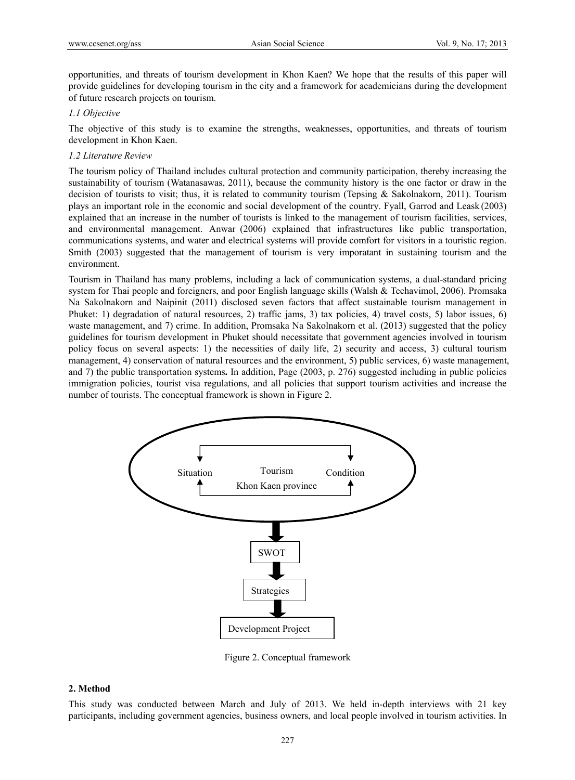opportunities, and threats of tourism development in Khon Kaen? We hope that the results of this paper will provide guidelines for developing tourism in the city and a framework for academicians during the development of future research projects on tourism.

# *1.1 Objective*

The objective of this study is to examine the strengths, weaknesses, opportunities, and threats of tourism development in Khon Kaen.

# *1.2 Literature Review*

The tourism policy of Thailand includes cultural protection and community participation, thereby increasing the sustainability of tourism (Watanasawas, 2011), because the community history is the one factor or draw in the decision of tourists to visit; thus, it is related to community tourism (Tepsing & Sakolnakorn, 2011). Tourism plays an important role in the economic and social development of the country. Fyall, Garrod and Leask (2003) explained that an increase in the number of tourists is linked to the management of tourism facilities, services, and environmental management. Anwar (2006) explained that infrastructures like public transportation, communications systems, and water and electrical systems will provide comfort for visitors in a touristic region. Smith (2003) suggested that the management of tourism is very imporatant in sustaining tourism and the environment.

Tourism in Thailand has many problems, including a lack of communication systems, a dual-standard pricing system for Thai people and foreigners, and poor English language skills (Walsh & Techavimol, 2006). Promsaka Na Sakolnakorn and Naipinit (2011) disclosed seven factors that affect sustainable tourism management in Phuket: 1) degradation of natural resources, 2) traffic jams, 3) tax policies, 4) travel costs, 5) labor issues, 6) waste management, and 7) crime. In addition, Promsaka Na Sakolnakorn et al. (2013) suggested that the policy guidelines for tourism development in Phuket should necessitate that government agencies involved in tourism policy focus on several aspects: 1) the necessities of daily life, 2) security and access, 3) cultural tourism management, 4) conservation of natural resources and the environment, 5) public services, 6) waste management, and 7) the public transportation systems**.** In addition, Page (2003, p. 276) suggested including in public policies immigration policies, tourist visa regulations, and all policies that support tourism activities and increase the number of tourists. The conceptual framework is shown in Figure 2.



Figure 2. Conceptual framework

# **2. Method**

This study was conducted between March and July of 2013. We held in-depth interviews with 21 key participants, including government agencies, business owners, and local people involved in tourism activities. In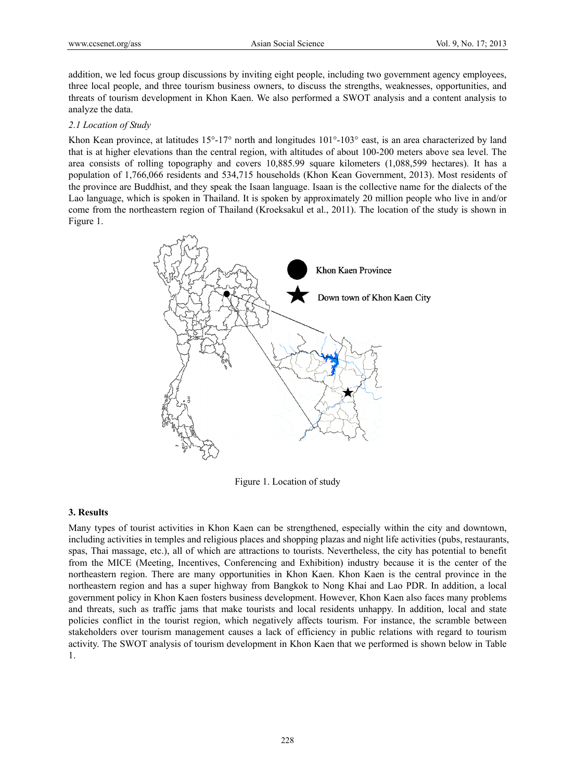addition, we led focus group discussions by inviting eight people, including two government agency employees, three local people, and three tourism business owners, to discuss the strengths, weaknesses, opportunities, and threats of tourism development in Khon Kaen. We also performed a SWOT analysis and a content analysis to analyze the data.

#### *2.1 Location of Study*

Khon Kean province, at latitudes  $15^{\circ} \text{-} 17^{\circ}$  north and longitudes  $101^{\circ} \text{-} 103^{\circ}$  east, is an area characterized by land that is at higher elevations than the central region, with altitudes of about 100-200 meters above sea level. The area consists of rolling topography and covers 10,885.99 square kilometers (1,088,599 hectares). It has a population of 1,766,066 residents and 534,715 households (Khon Kean Government, 2013). Most residents of the province are Buddhist, and they speak the Isaan language. Isaan is the collective name for the dialects of the Lao language, which is spoken in Thailand. It is spoken by approximately 20 million people who live in and/or come from the northeastern region of Thailand (Kroeksakul et al., 2011). The location of the study is shown in Figure 1.



Figure 1. Location of study

# **3. Results**

Many types of tourist activities in Khon Kaen can be strengthened, especially within the city and downtown, including activities in temples and religious places and shopping plazas and night life activities (pubs, restaurants, spas, Thai massage, etc.), all of which are attractions to tourists. Nevertheless, the city has potential to benefit from the MICE (Meeting, Incentives, Conferencing and Exhibition) industry because it is the center of the northeastern region. There are many opportunities in Khon Kaen. Khon Kaen is the central province in the northeastern region and has a super highway from Bangkok to Nong Khai and Lao PDR. In addition, a local government policy in Khon Kaen fosters business development. However, Khon Kaen also faces many problems and threats, such as traffic jams that make tourists and local residents unhappy. In addition, local and state policies conflict in the tourist region, which negatively affects tourism. For instance, the scramble between stakeholders over tourism management causes a lack of efficiency in public relations with regard to tourism activity. The SWOT analysis of tourism development in Khon Kaen that we performed is shown below in Table 1.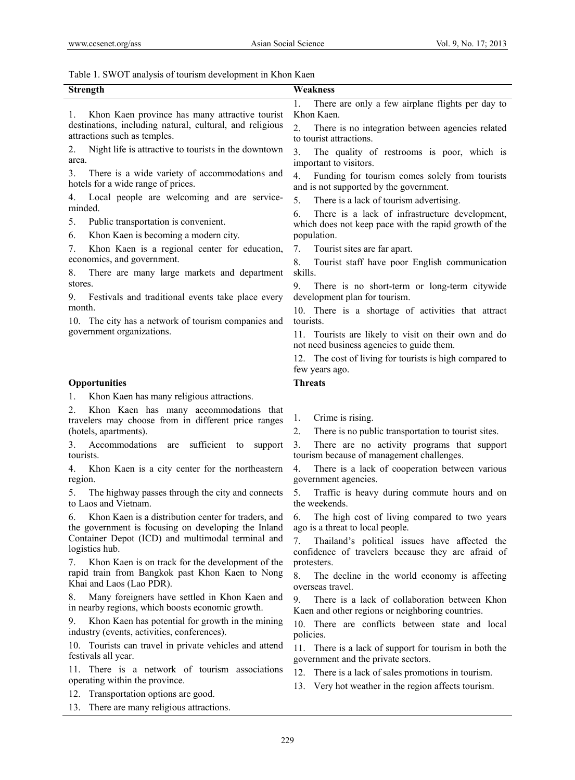Table 1. SWOT analysis of tourism development in Khon Kaen

| <b>Strength</b>                                                                                                  | Weakness                                                                                                  |  |
|------------------------------------------------------------------------------------------------------------------|-----------------------------------------------------------------------------------------------------------|--|
|                                                                                                                  | 1.<br>There are only a few airplane flights per day to                                                    |  |
| Khon Kaen province has many attractive tourist<br>Ι.                                                             | Khon Kaen.                                                                                                |  |
| destinations, including natural, cultural, and religious<br>attractions such as temples.                         | 2.<br>There is no integration between agencies related                                                    |  |
| Night life is attractive to tourists in the downtown<br>2.                                                       | to tourist attractions.<br>3.                                                                             |  |
| area.                                                                                                            | The quality of restrooms is poor, which is<br>important to visitors.                                      |  |
| There is a wide variety of accommodations and<br>3.<br>hotels for a wide range of prices.                        | Funding for tourism comes solely from tourists<br>4.<br>and is not supported by the government.           |  |
| Local people are welcoming and are service-<br>4.                                                                | 5.<br>There is a lack of tourism advertising.                                                             |  |
| minded.<br>5.<br>Public transportation is convenient.                                                            | There is a lack of infrastructure development,<br>6.                                                      |  |
| Khon Kaen is becoming a modern city.<br>6.                                                                       | which does not keep pace with the rapid growth of the<br>population.                                      |  |
| 7.<br>Khon Kaen is a regional center for education,                                                              | 7.<br>Tourist sites are far apart.                                                                        |  |
| economics, and government.                                                                                       | 8.<br>Tourist staff have poor English communication                                                       |  |
| There are many large markets and department<br>8.                                                                | skills.                                                                                                   |  |
| stores.                                                                                                          | 9.<br>There is no short-term or long-term citywide                                                        |  |
| Festivals and traditional events take place every<br>9.<br>month.                                                | development plan for tourism.                                                                             |  |
| 10. The city has a network of tourism companies and                                                              | 10. There is a shortage of activities that attract<br>tourists.                                           |  |
| government organizations.                                                                                        | 11. Tourists are likely to visit on their own and do<br>not need business agencies to guide them.         |  |
|                                                                                                                  | 12. The cost of living for tourists is high compared to<br>few years ago.                                 |  |
| Opportunities                                                                                                    | <b>Threats</b>                                                                                            |  |
| Khon Kaen has many religious attractions.<br>1.                                                                  |                                                                                                           |  |
| Khon Kaen has many accommodations that<br>2.<br>travelers may choose from in different price ranges              | Crime is rising.<br>I.                                                                                    |  |
| (hotels, apartments).                                                                                            | There is no public transportation to tourist sites.<br>2.                                                 |  |
| Accommodations are<br>sufficient<br>3.<br>support<br>to<br>tourists.                                             | There are no activity programs that support<br>3.<br>tourism because of management challenges.            |  |
| Khon Kaen is a city center for the northeastern<br>4.<br>region.                                                 | There is a lack of cooperation between various<br>4.<br>government agencies.                              |  |
| The highway passes through the city and connects<br>5.<br>to Laos and Vietnam.                                   | 5.<br>Traffic is heavy during commute hours and on<br>the weekends.                                       |  |
| Khon Kaen is a distribution center for traders, and<br>6.<br>the government is focusing on developing the Inland | The high cost of living compared to two years<br>6.<br>ago is a threat to local people.                   |  |
| Container Depot (ICD) and multimodal terminal and<br>logistics hub.                                              | Thailand's political issues have affected the<br>7.<br>confidence of travelers because they are afraid of |  |
| Khon Kaen is on track for the development of the<br>7.<br>rapid train from Bangkok past Khon Kaen to Nong        | protesters.                                                                                               |  |
| Khai and Laos (Lao PDR).                                                                                         | The decline in the world economy is affecting<br>8.<br>overseas travel.                                   |  |
| Many foreigners have settled in Khon Kaen and<br>8.<br>in nearby regions, which boosts economic growth.          | There is a lack of collaboration between Khon<br>9.<br>Kaen and other regions or neighboring countries.   |  |
| 9.<br>Khon Kaen has potential for growth in the mining<br>industry (events, activities, conferences).            | 10. There are conflicts between state and local<br>policies.                                              |  |
| 10. Tourists can travel in private vehicles and attend<br>festivals all year.                                    | 11. There is a lack of support for tourism in both the<br>government and the private sectors.             |  |
| 11. There is a network of tourism associations<br>operating within the province.                                 | 12. There is a lack of sales promotions in tourism.                                                       |  |
| Transportation options are good.<br>12.                                                                          | 13. Very hot weather in the region affects tourism.                                                       |  |
| There are many religious attractions.<br>13.                                                                     |                                                                                                           |  |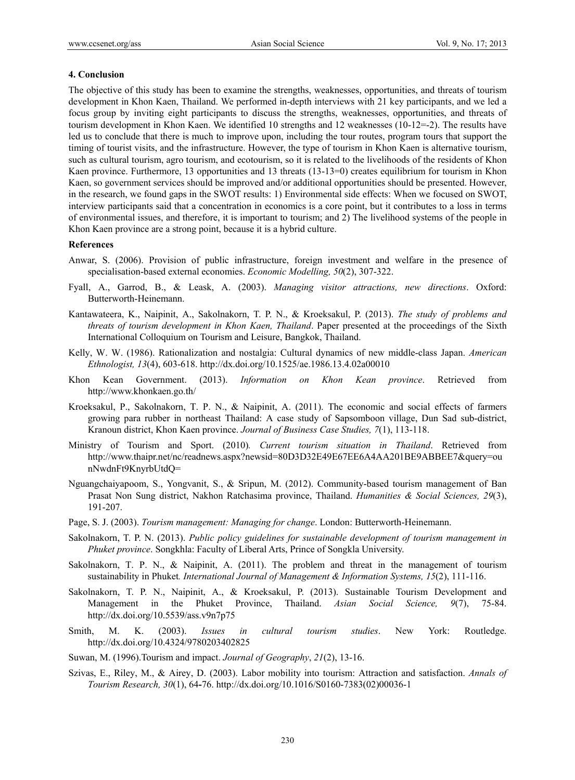#### **4. Conclusion**

The objective of this study has been to examine the strengths, weaknesses, opportunities, and threats of tourism development in Khon Kaen, Thailand. We performed in-depth interviews with 21 key participants, and we led a focus group by inviting eight participants to discuss the strengths, weaknesses, opportunities, and threats of tourism development in Khon Kaen. We identified 10 strengths and 12 weaknesses (10-12=-2). The results have led us to conclude that there is much to improve upon, including the tour routes, program tours that support the timing of tourist visits, and the infrastructure. However, the type of tourism in Khon Kaen is alternative tourism, such as cultural tourism, agro tourism, and ecotourism, so it is related to the livelihoods of the residents of Khon Kaen province. Furthermore, 13 opportunities and 13 threats (13-13=0) creates equilibrium for tourism in Khon Kaen, so government services should be improved and/or additional opportunities should be presented. However, in the research, we found gaps in the SWOT results: 1) Environmental side effects: When we focused on SWOT, interview participants said that a concentration in economics is a core point, but it contributes to a loss in terms of environmental issues, and therefore, it is important to tourism; and 2) The livelihood systems of the people in Khon Kaen province are a strong point, because it is a hybrid culture.

#### **References**

- Anwar, S. (2006). Provision of public infrastructure, foreign investment and welfare in the presence of specialisation-based external economies. *Economic Modelling, 50*(2), 307-322.
- Fyall, A., Garrod, B., & Leask, A. (2003). *Managing visitor attractions, new directions*. Oxford: Butterworth-Heinemann.
- Kantawateera, K., Naipinit, A., Sakolnakorn, T. P. N., & Kroeksakul, P. (2013). *The study of problems and threats of tourism development in Khon Kaen, Thailand*. Paper presented at the proceedings of the Sixth International Colloquium on Tourism and Leisure, Bangkok, Thailand.
- Kelly, W. W. (1986). Rationalization and nostalgia: Cultural dynamics of new middle-class Japan. *American Ethnologist, 13*(4), 603-618. http://dx.doi.org/10.1525/ae.1986.13.4.02a00010
- Khon Kean Government. (2013). *Information on Khon Kean province*. Retrieved from http://www.khonkaen.go.th/
- Kroeksakul, P., Sakolnakorn, T. P. N., & Naipinit, A. (2011). The economic and social effects of farmers growing para rubber in northeast Thailand: A case study of Sapsomboon village, Dun Sad sub-district, Kranoun district, Khon Kaen province. *Journal of Business Case Studies, 7*(1), 113-118.
- Ministry of Tourism and Sport. (2010)*. Current tourism situation in Thailand*. Retrieved from http://www.thaipr.net/nc/readnews.aspx?newsid=80D3D32E49E67EE6A4AA201BE9ABBEE7&query=ou nNwdnFt9KnyrbUtdQ=
- Nguangchaiyapoom, S., Yongvanit, S., & Sripun, M. (2012). Community-based tourism management of Ban Prasat Non Sung district, Nakhon Ratchasima province, Thailand. *Humanities & Social Sciences, 29*(3), 191-207.
- Page, S. J. (2003). *Tourism management: Managing for change*. London: Butterworth-Heinemann.
- Sakolnakorn, T. P. N. (2013). *Public policy guidelines for sustainable development of tourism management in Phuket province*. Songkhla: Faculty of Liberal Arts, Prince of Songkla University.
- Sakolnakorn, T. P. N., & Naipinit, A. (2011). The problem and threat in the management of tourism sustainability in Phuket*. International Journal of Management & Information Systems, 15*(2), 111-116.
- Sakolnakorn, T. P. N., Naipinit, A., & Kroeksakul, P. (2013). Sustainable Tourism Development and Management in the Phuket Province, Thailand. *Asian Social Science, 9*(7), 75-84. http://dx.doi.org/10.5539/ass.v9n7p75
- Smith, M. K. (2003). *Issues in cultural tourism studies*. New York: Routledge. http://dx.doi.org/10.4324/9780203402825
- Suwan, M. (1996).Tourism and impact. *Journal of Geography*, *21*(2), 13-16.
- Szivas, E., Riley, M., & Airey, D. (2003). Labor mobility into tourism: Attraction and satisfaction. *Annals of Tourism Research, 30*(1), 64**-**76. http://dx.doi.org/10.1016/S0160-7383(02)00036-1